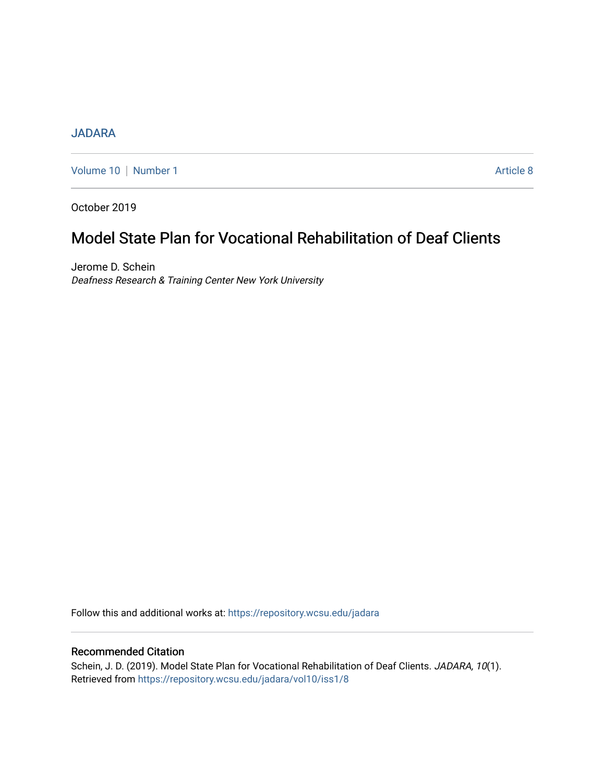## [JADARA](https://repository.wcsu.edu/jadara)

[Volume 10](https://repository.wcsu.edu/jadara/vol10) | [Number 1](https://repository.wcsu.edu/jadara/vol10/iss1) Article 8

October 2019

# Model State Plan for Vocational Rehabilitation of Deaf Clients

Jerome D. Schein Deafness Research & Training Center New York University

Follow this and additional works at: [https://repository.wcsu.edu/jadara](https://repository.wcsu.edu/jadara?utm_source=repository.wcsu.edu%2Fjadara%2Fvol10%2Fiss1%2F8&utm_medium=PDF&utm_campaign=PDFCoverPages)

## Recommended Citation

Schein, J. D. (2019). Model State Plan for Vocational Rehabilitation of Deaf Clients. JADARA, 10(1). Retrieved from [https://repository.wcsu.edu/jadara/vol10/iss1/8](https://repository.wcsu.edu/jadara/vol10/iss1/8?utm_source=repository.wcsu.edu%2Fjadara%2Fvol10%2Fiss1%2F8&utm_medium=PDF&utm_campaign=PDFCoverPages)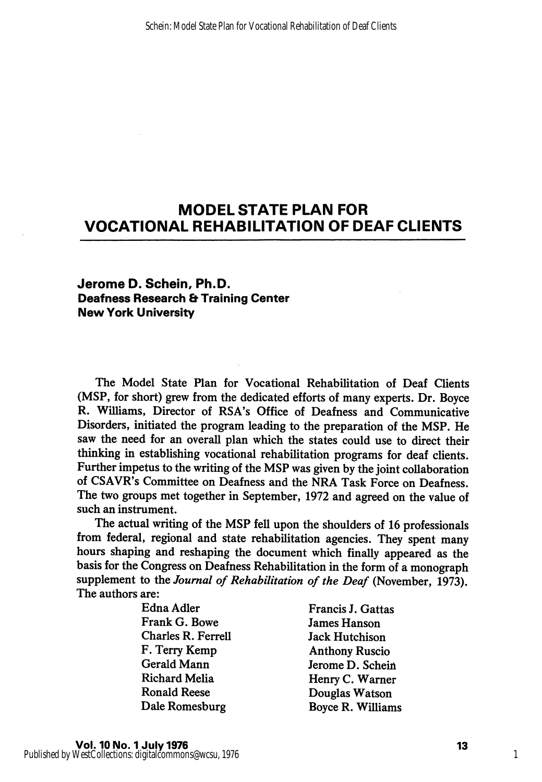## MODEL STATE PLAN FOR VOCATIONAL REHABILITATION OF DEAF CLIENTS

### Jerome D. Schein, Ph.D. Deafness Research & Training Center New York University

The Model State Plan for Vocational Rehabilitation of Deaf Clients (MSP, for short) grew from the dedicated efforts of many experts. Dr. Boyce R. Williams, Director of RSA's Office of Deafness and Communicative Disorders, initiated the program leading to the preparation of the MSP. He saw the need for an overall plan which the states could use to direct their thinking in establishing vocational rehabilitation programs for deaf clients. Further impetus to the writing of the MSP was given by the joint collaboration of CSAVR's Committee on Deafness and the NRA Task Force on Deafness. The two groups met together in September, 1972 and agreed on the value of such an instrument.

The actual writing of the MSP fell upon the shoulders of 16 professionals from federal, regional and state rehabilitation agencies. They spent many hours shaping and reshaping the document which finally appeared as the basis for the Congress on Deafness Rehabilitation in the form of a monograph supplement to the Journal of Rehabilitation of the Deaf (November, 1973). The authors are:

Frank G. Bowe James Hanson Charles R. Ferrell Jack Hutchison F. Terry Kemp Anthony Ruscio Gerald Mann<br>
Richard Melia<br>
Henry C. Warner Ronald Reese Douglas Watson

Francis J. Gattas Henry C. Warner Dale Romesburg Boyce R. Williams

1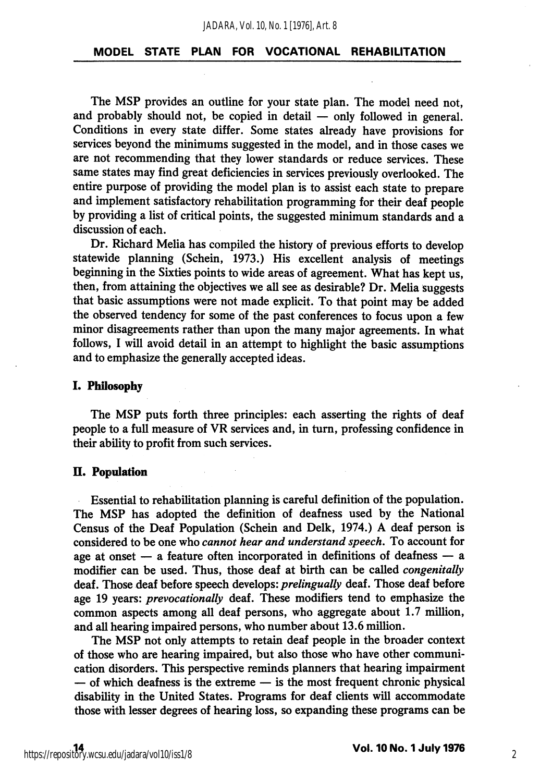#### MODEL STATE PLAN FOR VOCATIONAL REHABILITATION

The MSP provides an outline for your state plan. The model need not, and probably should not, be copied in detail — only followed in general. Conditions in every state differ. Some states already have provisions for services beyond the minimums suggested in the model, and in those cases we are not recommending that they lower standards or reduce services. These same states may find great deficiencies in services previously overlooked. The entire purpose of providing the model plan is to assist each state to prepare and implement satisfactory rehabilitation programming for their deaf people by providing a list of critical points, the suggested minimum standards and a discussion of each.

Dr. Richard Melia has compiled the history of previous efforts to develop statewide planning (Schein, 1973.) His excellent analysis of meetings beginning in the Sixties points to wide areas of agreement. What has kept us, then, from attaining the objectives we all see as desirable? Dr. Melia suggests that basic assumptions were not made explicit. To that point may be added the observed tendency for some of the past conferences to focus upon a few minor disagreements rather than upon the many major agreements. In what follows, I will avoid detail in an attempt to highlight the basic assumptions and to emphasize the generally accepted ideas.

#### I. Philosophy

The MSP puts forth three principles: each asserting the rights of deaf people to a full measure of VR services and, in turn, professing confidence in their ability to profit from such services.

#### II. Population

Essential to rehabilitation planning is careful definition of the population. The MSP has adopted the definition of deafness used by the National Census of the Deaf Population (Schein and Delk, 1974.) A deaf person is considered to be one who cannot hear and understand speech. To account for age at onset — a feature often incorporated in definitions of deafness — a modifier can be used. Thus, those deaf at birth can be called congenitally deaf. Those deaf before speech develops: prelingually deaf. Those deaf before age 19 years: *prevocationally* deaf. These modifiers tend to emphasize the common aspects among all deaf persons, who aggregate about 1.7 million, and all hearing impaired persons, who number about 13.6 million.

The MSP not only attempts to retain deaf people in the broader context of those who are hearing impaired, but also those who have other communi cation disorders. This perspective reminds planners that hearing impairment — of which deafness is the extreme — is the most frequent chronic physical disability in the United States. Programs for deaf clients will accommodate those with lesser degrees of hearing loss, so expanding these programs can be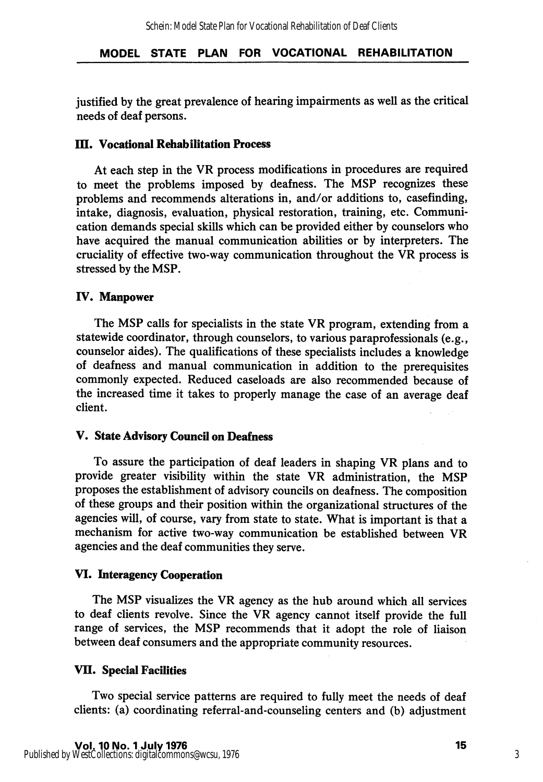justified by the great prevalence of hearing impairments as well as the critical needs of deaf persons.

### **III. Vocational Rehabilitation Process**

At each step in the VR process modifications in procedures are required to meet the problems imposed by deafness. The MSP recognizes these problems and recommends alterations in, and/or additions to, casefinding, intake, diagnosis, evaluation, physical restoration, training, etc. Communi cation demands special skills which can be provided either by counselors who have acquired the manual communication abilities or by interpreters. The cruciality of effective two-way communication throughout the VR process is stressed by the MSP.

## IV. Manpower

The MSP calls for specialists in the state VR program, extending from a statewide coordinator, through counselors, to various paraprofessionals (e.g., counselor aides). The qualifications of these specialists includes a knowledge of deafness and manual communication in addition to the prerequisites commonly expected. Reduced caseloads are also recommended because of the increased time it takes to properly manage the case of an average deaf client.

### V. State Advisory Council on Deafness

To assure the participation of deaf leaders in shaping VR plans and to provide greater visibility within the state VR administration, the MSP proposes the establishment of advisory councils on deafness. The composition of these groups and their position within the organizational structures of the agencies will, of course, vary from state to state. What is important is that a mechanism for active two-way communication be established between VR agencies and the deaf communities they serve.

## VI. Interagency Cooperation

The MSP visualizes the VR agency as the hub around which all services to deaf clients revolve. Since the VR agency cannot itself provide the full range of services, the MSP recommends that it adopt the role of liaison between deaf consumers and the appropriate community resources.

## VII. Special Facilities

Two special service patterns are required to fully meet the needs of deaf clients: (a) coordinating referral-and-counseling centers and (b) adjustment

3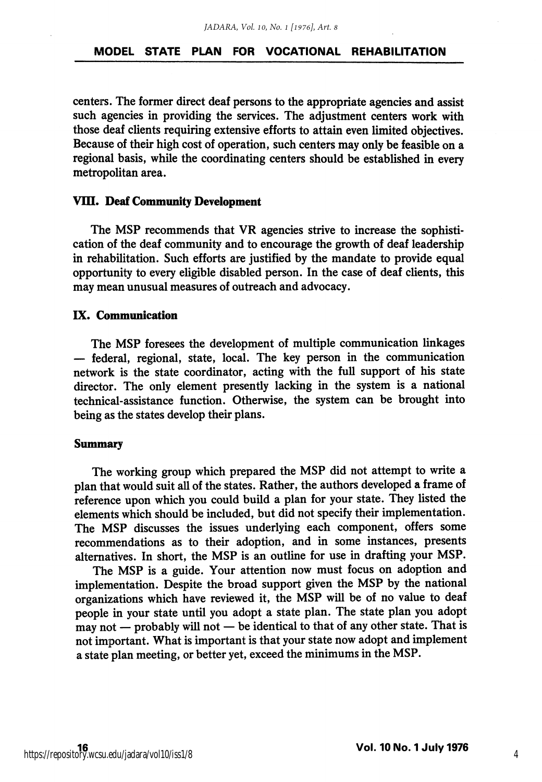#### MODEL STATE PLAN FOR VOCATIONAL REHABILITATION

centers. The former direct deaf persons to the appropriate agencies and assist such agencies in providing the services. The adjustment centers work with those deaf clients requiring extensive efforts to attain even limited objectives. Because of their high cost of operation, such centers may only be feasible on a regional basis, while the coordinating centers should be established in every metropolitan area.

#### VIII. Deaf Community Development

The MSP recommends that VR agencies strive to increase the sophisti cation of the deaf community and to encourage the growth of deaf leadership in rehabilitation. Such efforts are justified by the mandate to provide equal opportunity to every eligible disabled person. In the case of deaf clients, this may mean unusual measures of outreach and advocacy.

#### IX. Communication

The MSP foresees the development of multiple communication linkages — federal, regional, state, local. The key person in the communication network is the state coordinator, acting with the full support of his state director. The only element presently lacking in the system is a national technical-assistance function. Otherwise, the system can be brought into being as the states develop their plans.

#### Summary

The working group which prepared the MSP did not attempt to write a plan that would suit all of the states. Rather, the authors developed a frame of reference upon which you could build a plan for your state. They listed the elements which should be included, but did not specify their implementation. The MSP discusses the issues underlying each component, offers some recommendations as to their adoption, and in some instances, presents alternatives. In short, the MSP is an outline for use in drafting your MSP.

The MSP is a guide. Your attention now must focus on adoption and implementation. Despite the broad support given the MSP by the national organizations which have reviewed it, the MSP will be of no value to deaf people in your state until you adopt a state plan. The state plan you adopt may not — probably will not — be identical to that of any other state. That is not important. What is important is that your state now adopt and implement a state plan meeting, or better yet, exceed the minimums in the MSP.